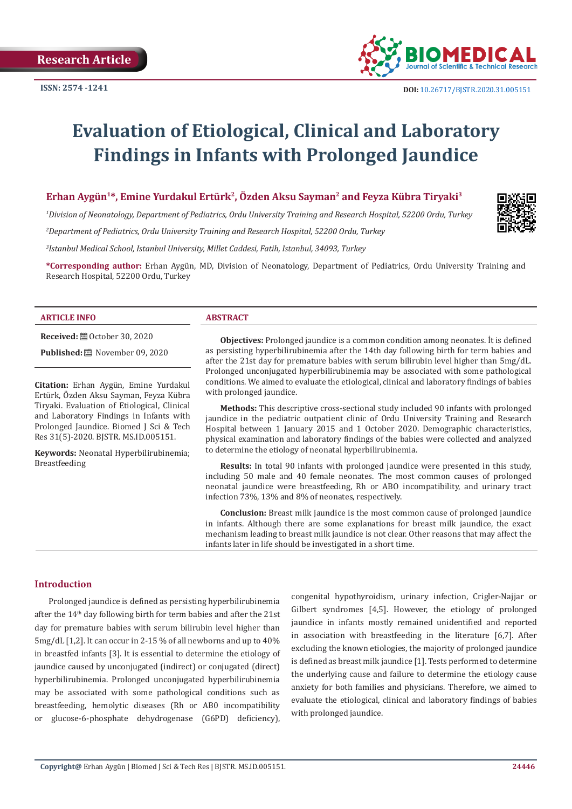

# **Evaluation of Etiological, Clinical and Laboratory Findings in Infants with Prolonged Jaundice**

# **Erhan Aygün1\*, Emine Yurdakul Ertürk2, Özden Aksu Sayman2 and Feyza Kübra Tiryaki3**

*1 Division of Neonatology, Department of Pediatrics, Ordu University Training and Research Hospital, 52200 Ordu, Turkey* 

*2 Department of Pediatrics, Ordu University Training and Research Hospital, 52200 Ordu, Turkey*

*3 Istanbul Medical School, Istanbul University, Millet Caddesi, Fatih, Istanbul, 34093, Turkey* 

**\*Corresponding author:** Erhan Aygün, MD, Division of Neonatology, Department of Pediatrics, Ordu University Training and Research Hospital, 52200 Ordu, Turkey

#### **ARTICLE INFO ABSTRACT**

**Received:** ■ October 30, 2020

**Published:** ■ November 09, 2020

**Citation:** Erhan Aygün, Emine Yurdakul Ertürk, Özden Aksu Sayman, Feyza Kübra Tiryaki. Evaluation of Etiological, Clinical and Laboratory Findings in Infants with Prolonged Jaundice. Biomed J Sci & Tech Res 31(5)-2020. BJSTR. MS.ID.005151.

**Keywords:** Neonatal Hyperbilirubinemia; Breastfeeding

**Objectives:** Prolonged jaundice is a common condition among neonates. İt is defined as persisting hyperbilirubinemia after the 14th day following birth for term babies and after the 21st day for premature babies with serum bilirubin level higher than 5mg/dL. Prolonged unconjugated hyperbilirubinemia may be associated with some pathological conditions. We aimed to evaluate the etiological, clinical and laboratory findings of babies with prolonged jaundice.

**Methods:** This descriptive cross-sectional study included 90 infants with prolonged jaundice in the pediatric outpatient clinic of Ordu University Training and Research Hospital between 1 January 2015 and 1 October 2020. Demographic characteristics, physical examination and laboratory findings of the babies were collected and analyzed to determine the etiology of neonatal hyperbilirubinemia.

**Results:** In total 90 infants with prolonged jaundice were presented in this study, including 50 male and 40 female neonates. The most common causes of prolonged neonatal jaundice were breastfeeding, Rh or ABO incompatibility, and urinary tract infection 73%, 13% and 8% of neonates, respectively.

**Conclusion:** Breast milk jaundice is the most common cause of prolonged jaundice in infants. Although there are some explanations for breast milk jaundice, the exact mechanism leading to breast milk jaundice is not clear. Other reasons that may affect the infants later in life should be investigated in a short time.

#### **Introduction**

Prolonged jaundice is defined as persisting hyperbilirubinemia after the 14th day following birth for term babies and after the 21st day for premature babies with serum bilirubin level higher than 5mg/dL [1,2]. It can occur in 2-15 % of all newborns and up to 40% in breastfed infants [3]. It is essential to determine the etiology of jaundice caused by unconjugated (indirect) or conjugated (direct) hyperbilirubinemia. Prolonged unconjugated hyperbilirubinemia may be associated with some pathological conditions such as breastfeeding, hemolytic diseases (Rh or AB0 incompatibility or glucose-6-phosphate dehydrogenase (G6PD) deficiency),

congenital hypothyroidism, urinary infection, Crigler-Najjar or Gilbert syndromes [4,5]. However, the etiology of prolonged jaundice in infants mostly remained unidentified and reported in association with breastfeeding in the literature [6,7]. After excluding the known etiologies, the majority of prolonged jaundice is defined as breast milk jaundice [1]. Tests performed to determine the underlying cause and failure to determine the etiology cause anxiety for both families and physicians. Therefore, we aimed to evaluate the etiological, clinical and laboratory findings of babies with prolonged jaundice.

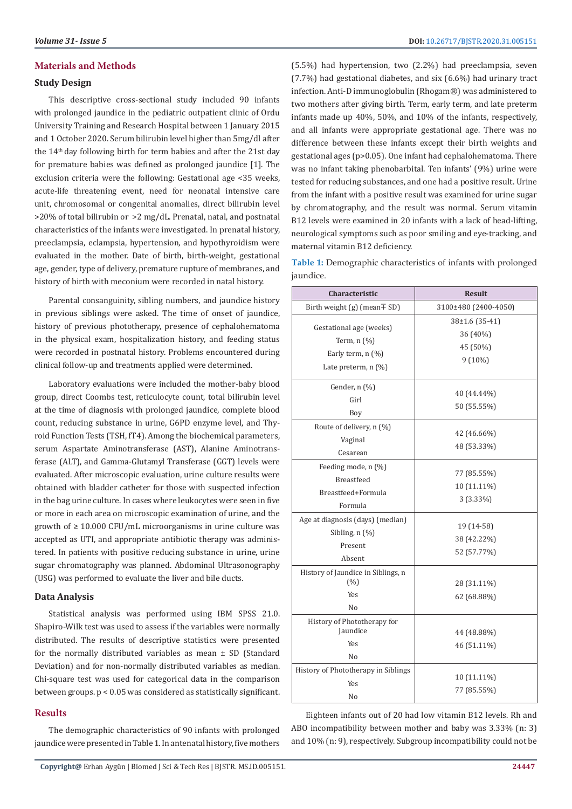# **Materials and Methods**

### **Study Design**

This descriptive cross-sectional study included 90 infants with prolonged jaundice in the pediatric outpatient clinic of Ordu University Training and Research Hospital between 1 January 2015 and 1 October 2020. Serum bilirubin level higher than 5mg/dl after the 14th day following birth for term babies and after the 21st day for premature babies was defined as prolonged jaundice [1]. The exclusion criteria were the following: Gestational age <35 weeks, acute-life threatening event, need for neonatal intensive care unit, chromosomal or congenital anomalies, direct bilirubin level >20% of total bilirubin or >2 mg/dL. Prenatal, natal, and postnatal characteristics of the infants were investigated. In prenatal history, preeclampsia, eclampsia, hypertension, and hypothyroidism were evaluated in the mother. Date of birth, birth-weight, gestational age, gender, type of delivery, premature rupture of membranes, and history of birth with meconium were recorded in natal history.

Parental consanguinity, sibling numbers, and jaundice history in previous siblings were asked. The time of onset of jaundice, history of previous phototherapy, presence of cephalohematoma in the physical exam, hospitalization history, and feeding status were recorded in postnatal history. Problems encountered during clinical follow-up and treatments applied were determined.

Laboratory evaluations were included the mother-baby blood group, direct Coombs test, reticulocyte count, total bilirubin level at the time of diagnosis with prolonged jaundice, complete blood count, reducing substance in urine, G6PD enzyme level, and Thyroid Function Tests (TSH, fT4). Among the biochemical parameters, serum Aspartate Aminotransferase (AST), Alanine Aminotransferase (ALT), and Gamma-Glutamyl Transferase (GGT) levels were evaluated. After microscopic evaluation, urine culture results were obtained with bladder catheter for those with suspected infection in the bag urine culture. In cases where leukocytes were seen in five or more in each area on microscopic examination of urine, and the growth of ≥ 10.000 CFU/mL microorganisms in urine culture was accepted as UTI, and appropriate antibiotic therapy was administered. In patients with positive reducing substance in urine, urine sugar chromatography was planned. Abdominal Ultrasonography (USG) was performed to evaluate the liver and bile ducts.

# **Data Analysis**

Statistical analysis was performed using IBM SPSS 21.0. Shapiro-Wilk test was used to assess if the variables were normally distributed. The results of descriptive statistics were presented for the normally distributed variables as mean ± SD (Standard Deviation) and for non-normally distributed variables as median. Chi-square test was used for categorical data in the comparison between groups. p < 0.05 was considered as statistically significant.

# **Results**

The demographic characteristics of 90 infants with prolonged jaundice were presented in Table 1. In antenatal history, five mothers (5.5%) had hypertension, two (2.2%) had preeclampsia, seven (7.7%) had gestational diabetes, and six (6.6%) had urinary tract infection. Anti-D immunoglobulin (Rhogam®) was administered to two mothers after giving birth. Term, early term, and late preterm infants made up 40%, 50%, and 10% of the infants, respectively, and all infants were appropriate gestational age. There was no difference between these infants except their birth weights and gestational ages (p>0.05). One infant had cephalohematoma. There was no infant taking phenobarbital. Ten infants' (9%) urine were tested for reducing substances, and one had a positive result. Urine from the infant with a positive result was examined for urine sugar by chromatography, and the result was normal. Serum vitamin B12 levels were examined in 20 infants with a lack of head-lifting, neurological symptoms such as poor smiling and eye-tracking, and maternal vitamin B12 deficiency.

**Table 1:** Demographic characteristics of infants with prolonged jaundice.

| <b>Characteristic</b>                                                                          | <b>Result</b>                                       |
|------------------------------------------------------------------------------------------------|-----------------------------------------------------|
| Birth weight (g) (mean $\mp$ SD)                                                               | 3100±480 (2400-4050)                                |
| Gestational age (weeks)<br>Term, $n$ $(\%)$<br>Early term, $n$ (%)<br>Late preterm, $n$ $(\%)$ | 38±1.6 (35-41)<br>36 (40%)<br>45 (50%)<br>$9(10\%)$ |
| Gender, n (%)<br>Girl<br>Boy                                                                   | 40 (44.44%)<br>50 (55.55%)                          |
| Route of delivery, n (%)<br>Vaginal<br>Cesarean                                                | 42 (46.66%)<br>48 (53.33%)                          |
| Feeding mode, n (%)<br><b>Breastfeed</b><br>Breastfeed+Formula<br>Formula                      | 77 (85.55%)<br>10 (11.11%)<br>3 (3.33%)             |
| Age at diagnosis (days) (median)<br>Sibling, $n$ $(\%)$<br>Present<br>Absent                   | 19 (14-58)<br>38 (42.22%)<br>52 (57.77%)            |
| History of Jaundice in Siblings, n<br>(%)<br>Yes<br>No                                         | 28 (31.11%)<br>62 (68.88%)                          |
| History of Phototherapy for<br>Jaundice<br><b>Yes</b><br>No                                    | 44 (48.88%)<br>46 (51.11%)                          |
| History of Phototherapy in Siblings<br><b>Yes</b><br>No                                        | 10 (11.11%)<br>77 (85.55%)                          |

Eighteen infants out of 20 had low vitamin B12 levels. Rh and ABO incompatibility between mother and baby was 3.33% (n: 3) and 10% (n: 9), respectively. Subgroup incompatibility could not be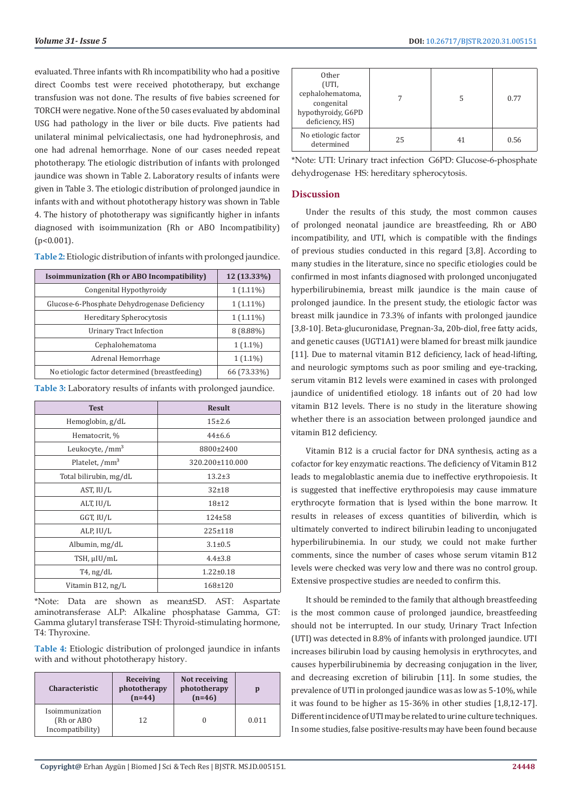evaluated. Three infants with Rh incompatibility who had a positive direct Coombs test were received phototherapy, but exchange transfusion was not done. The results of five babies screened for TORCH were negative. None of the 50 cases evaluated by abdominal USG had pathology in the liver or bile ducts. Five patients had unilateral minimal pelvicaliectasis, one had hydronephrosis, and one had adrenal hemorrhage. None of our cases needed repeat phototherapy. The etiologic distribution of infants with prolonged jaundice was shown in Table 2. Laboratory results of infants were given in Table 3. The etiologic distribution of prolonged jaundice in infants with and without phototherapy history was shown in Table 4. The history of phototherapy was significantly higher in infants diagnosed with isoimmunization (Rh or ABO Incompatibility)  $(p<0.001)$ .

**Table 2:** Etiologic distribution of infants with prolonged jaundice.

| Isoimmunization (Rh or ABO Incompatibility)    | 12 (13.33%) |
|------------------------------------------------|-------------|
| Congenital Hypothyroidy                        | $1(1.11\%)$ |
| Glucose-6-Phosphate Dehydrogenase Deficiency   | $1(1.11\%)$ |
| Hereditary Spherocytosis                       | $1(1.11\%)$ |
| Urinary Tract Infection                        | $8(8.88\%)$ |
| Cephalohematoma                                | $1(1.1\%)$  |
| Adrenal Hemorrhage                             | $1(1.1\%)$  |
| No etiologic factor determined (breastfeeding) | 66 (73.33%) |

**Table 3:** Laboratory results of infants with prolonged jaundice.

| <b>Test</b>                 | <b>Result</b>   |  |
|-----------------------------|-----------------|--|
| Hemoglobin, g/dL            | $15+2.6$        |  |
| Hematocrit, %               | $44\pm 6.6$     |  |
| Leukocyte, /mm <sup>3</sup> | 8800±2400       |  |
| Platelet, /mm <sup>3</sup>  | 320.200±110.000 |  |
| Total bilirubin, mg/dL      | $13.2 \pm 3$    |  |
| AST, IU/L                   | $32 + 18$       |  |
| ALT, IU/L                   | $18 + 12$       |  |
| GGT, IU/L                   | $124 + 58$      |  |
| ALP, IU/L                   | $225 \pm 118$   |  |
| Albumin, mg/dL              | $3.1 \pm 0.5$   |  |
| TSH, µIU/mL                 | $4.4 \pm 3.8$   |  |
| $T4$ , ng/dL                | $1.22 \pm 0.18$ |  |
| Vitamin B12, ng/L           | 168±120         |  |

\*Note: Data are shown as mean±SD. AST: Aspartate aminotransferase ALP: Alkaline phosphatase Gamma, GT: Gamma glutaryl transferase TSH: Thyroid-stimulating hormone, T4: Thyroxine.

**Table 4:** Etiologic distribution of prolonged jaundice in infants with and without phototherapy history.

| <b>Characteristic</b>                             | Receiving<br>phototherapy<br>$(n=44)$ | Not receiving<br>phototherapy<br>$(n=46)$ |       |
|---------------------------------------------------|---------------------------------------|-------------------------------------------|-------|
| Isoimmunization<br>(Rh or ABO<br>Incompatibility) | 12                                    |                                           | 0.011 |

| Other<br>(UTI,<br>cephalohematoma,<br>congenital<br>hypothyroidy, G6PD<br>deficiency, HS) |    |    | 0.77 |
|-------------------------------------------------------------------------------------------|----|----|------|
| No etiologic factor<br>determined                                                         | 25 | 41 | 0.56 |

\*Note: UTI: Urinary tract infection G6PD: Glucose-6-phosphate dehydrogenase HS: hereditary spherocytosis.

## **Discussion**

Under the results of this study, the most common causes of prolonged neonatal jaundice are breastfeeding, Rh or ABO incompatibility, and UTI, which is compatible with the findings of previous studies conducted in this regard [3,8]. According to many studies in the literature, since no specific etiologies could be confirmed in most infants diagnosed with prolonged unconjugated hyperbilirubinemia, breast milk jaundice is the main cause of prolonged jaundice. In the present study, the etiologic factor was breast milk jaundice in 73.3% of infants with prolonged jaundice [3,8-10]. Beta-glucuronidase, Pregnan-3a, 20b-diol, free fatty acids, and genetic causes (UGT1A1) were blamed for breast milk jaundice [11]. Due to maternal vitamin B12 deficiency, lack of head-lifting, and neurologic symptoms such as poor smiling and eye-tracking, serum vitamin B12 levels were examined in cases with prolonged jaundice of unidentified etiology. 18 infants out of 20 had low vitamin B12 levels. There is no study in the literature showing whether there is an association between prolonged jaundice and vitamin B12 deficiency.

Vitamin B12 is a crucial factor for DNA synthesis, acting as a cofactor for key enzymatic reactions. The deficiency of Vitamin B12 leads to megaloblastic anemia due to ineffective erythropoiesis. It is suggested that ineffective erythropoiesis may cause immature erythrocyte formation that is lysed within the bone marrow. It results in releases of excess quantities of biliverdin, which is ultimately converted to indirect bilirubin leading to unconjugated hyperbilirubinemia. In our study, we could not make further comments, since the number of cases whose serum vitamin B12 levels were checked was very low and there was no control group. Extensive prospective studies are needed to confirm this.

It should be reminded to the family that although breastfeeding is the most common cause of prolonged jaundice, breastfeeding should not be interrupted. In our study, Urinary Tract Infection (UTI) was detected in 8.8% of infants with prolonged jaundice. UTI increases bilirubin load by causing hemolysis in erythrocytes, and causes hyperbilirubinemia by decreasing conjugation in the liver, and decreasing excretion of bilirubin [11]. In some studies, the prevalence of UTI in prolonged jaundice was as low as 5-10%, while it was found to be higher as 15-36% in other studies [1,8,12-17]. Different incidence of UTI may be related to urine culture techniques. In some studies, false positive-results may have been found because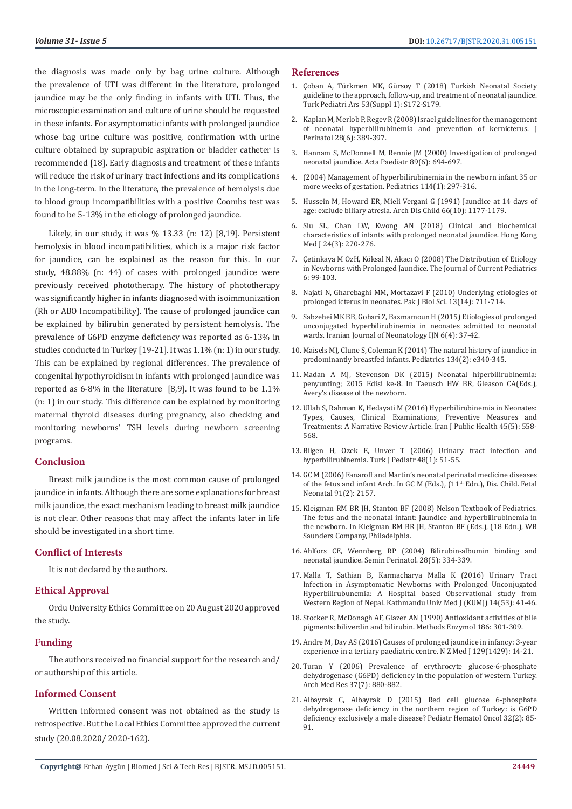the diagnosis was made only by bag urine culture. Although the prevalence of UTI was different in the literature, prolonged jaundice may be the only finding in infants with UTI. Thus, the microscopic examination and culture of urine should be requested in these infants. For asymptomatic infants with prolonged jaundice whose bag urine culture was positive, confirmation with urine culture obtained by suprapubic aspiration or bladder catheter is recommended [18]. Early diagnosis and treatment of these infants will reduce the risk of urinary tract infections and its complications in the long-term. In the literature, the prevalence of hemolysis due to blood group incompatibilities with a positive Coombs test was found to be 5-13% in the etiology of prolonged jaundice.

Likely, in our study, it was % 13.33 (n: 12) [8,19]. Persistent hemolysis in blood incompatibilities, which is a major risk factor for jaundice, can be explained as the reason for this. In our study, 48.88% (n: 44) of cases with prolonged jaundice were previously received phototherapy. The history of phototherapy was significantly higher in infants diagnosed with isoimmunization (Rh or ABO Incompatibility). The cause of prolonged jaundice can be explained by bilirubin generated by persistent hemolysis. The prevalence of G6PD enzyme deficiency was reported as 6-13% in studies conducted in Turkey [19-21]. It was 1.1% (n: 1) in our study. This can be explained by regional differences. The prevalence of congenital hypothyroidism in infants with prolonged jaundice was reported as 6-8% in the literature [8,9]. It was found to be 1.1% (n: 1) in our study. This difference can be explained by monitoring maternal thyroid diseases during pregnancy, also checking and monitoring newborns' TSH levels during newborn screening programs.

# **Conclusion**

Breast milk jaundice is the most common cause of prolonged jaundice in infants. Although there are some explanations for breast milk jaundice, the exact mechanism leading to breast milk jaundice is not clear. Other reasons that may affect the infants later in life should be investigated in a short time.

#### **Conflict of Interests**

It is not declared by the authors.

## **Ethical Approval**

Ordu University Ethics Committee on 20 August 2020 approved the study.

#### **Funding**

The authors received no financial support for the research and/ or authorship of this article.

# **Informed Consent**

Written informed consent was not obtained as the study is retrospective. But the Local Ethics Committee approved the current study (20.08.2020/ 2020-162).

#### **References**

- 1. [Çoban A, Türkmen MK, Gürsoy T \(2018\) Turkish Neonatal Society](https://www.journalagent.com/tpa/pdfs/TPA_53_SUP_1_172_179%5BA%5D.pdf) [guideline to the approach, follow-up, and treatment of neonatal jaundice.](https://www.journalagent.com/tpa/pdfs/TPA_53_SUP_1_172_179%5BA%5D.pdf) [Turk Pediatri Ars 53\(Suppl 1\): S172-S179.](https://www.journalagent.com/tpa/pdfs/TPA_53_SUP_1_172_179%5BA%5D.pdf)
- 2. [Kaplan M, Merlob P, Regev R \(2008\) Israel guidelines for the management](https://www.nature.com/articles/jp200820) [of neonatal hyperbilirubinemia and prevention of kernicterus. J](https://www.nature.com/articles/jp200820) [Perinatol 28\(6\): 389-397.](https://www.nature.com/articles/jp200820)
- 3. [Hannam S, McDonnell M, Rennie JM \(2000\) Investigation of prolonged](https://onlinelibrary.wiley.com/doi/abs/10.1111/j.1651-2227.2000.tb00367.x) [neonatal jaundice. Acta Paediatr 89\(6\): 694-697.](https://onlinelibrary.wiley.com/doi/abs/10.1111/j.1651-2227.2000.tb00367.x)
- 4. [\(2004\) Management of hyperbilirubinemia in the newborn infant 35 or](https://pediatrics.aappublications.org/content/114/1/297) [more weeks of gestation. Pediatrics 114\(1\): 297-316.](https://pediatrics.aappublications.org/content/114/1/297)
- 5. [Hussein M, Howard ER, Mieli Vergani G \(1991\) Jaundice at 14 days of](https://www.researchgate.net/publication/21202993_Jaundice_at_14_days_of_age_Exclude_biliary_atresia) [age: exclude biliary atresia. Arch Dis Child 66\(10\): 1177-1179.](https://www.researchgate.net/publication/21202993_Jaundice_at_14_days_of_age_Exclude_biliary_atresia)
- 6. [Siu SL, Chan LW, Kwong AN \(2018\) Clinical and biochemical](https://www.researchgate.net/publication/325440674_Clinical_and_biochemical_characteristics_of_infants_with_prolonged_neonatal_jaundice) [characteristics of infants with prolonged neonatal jaundice. Hong Kong](https://www.researchgate.net/publication/325440674_Clinical_and_biochemical_characteristics_of_infants_with_prolonged_neonatal_jaundice) [Med J 24\(3\): 270-276.](https://www.researchgate.net/publication/325440674_Clinical_and_biochemical_characteristics_of_infants_with_prolonged_neonatal_jaundice)
- 7. [Çetinkaya M OzH, Köksal N, Akacı O \(2008\) The Distribution of Etiology](https://go.gale.com/ps/anonymous?id=GALE%7CA195755856&sid=googleScholar&v=2.1&it=r&linkaccess=abs&issn=13049054&p=AONE&sw=w) [in Newborns with Prolonged Jaundice. The Journal of Current Pediatrics](https://go.gale.com/ps/anonymous?id=GALE%7CA195755856&sid=googleScholar&v=2.1&it=r&linkaccess=abs&issn=13049054&p=AONE&sw=w) [6: 99-103.](https://go.gale.com/ps/anonymous?id=GALE%7CA195755856&sid=googleScholar&v=2.1&it=r&linkaccess=abs&issn=13049054&p=AONE&sw=w)
- 8. Najati N, Gharebaghi MM, Mortazavi F (2010) Underlying etiologies of prolonged icterus in neonates. Pak J Biol Sci. 13(14): 711-714.
- 9. Sabzehei MK BB, Gohari Z, Bazmamoun H (2015) Etiologies of prolonged unconjugated hyperbilirubinemia in neonates admitted to neonatal wards. Iranian Journal of Neonatology IJN 6(4): 37-42.
- 10. Maisels MJ, Clune S, Coleman K (2014) The natural history of jaundice in predominantly breastfed infants. Pediatrics 134(2): e340-345.
- 11. Madan A MJ, Stevenson DK (2015) Neonatal hiperbilirubinemia: penyunting; 2015 Edisi ke-8. In Taeusch HW BR, Gleason CA(Eds.), Avery's disease of the newborn.
- 12. [Ullah S, Rahman K, Hedayati M \(2016\) Hyperbilirubinemia in Neonates:](https://www.researchgate.net/publication/303518565_Hyperbilirubinemia_in_Neonates_Types_Causes_Clinical_Examinations_Preventive_Measures_and_Treatments_A_Narrative_Review_Article) [Types, Causes, Clinical Examinations, Preventive Measures and](https://www.researchgate.net/publication/303518565_Hyperbilirubinemia_in_Neonates_Types_Causes_Clinical_Examinations_Preventive_Measures_and_Treatments_A_Narrative_Review_Article) [Treatments: A Narrative Review Article. Iran J Public Health 45\(5\): 558-](https://www.researchgate.net/publication/303518565_Hyperbilirubinemia_in_Neonates_Types_Causes_Clinical_Examinations_Preventive_Measures_and_Treatments_A_Narrative_Review_Article) [568.](https://www.researchgate.net/publication/303518565_Hyperbilirubinemia_in_Neonates_Types_Causes_Clinical_Examinations_Preventive_Measures_and_Treatments_A_Narrative_Review_Article)
- 13. Bilgen H, Ozek E, Unver T (2006) Urinary tract infection and hyperbilirubinemia. Turk J Pediatr 48(1): 51-55.
- 14. [GC M \(2006\) Fanaroff and Martin's neonatal perinatal medicine diseases](https://www.elsevier.com/books/fanaroff-and-martins-neonatal-perinatal-medicine-2-volume-set/martin/978-0-323-56711-4) of the fetus and infant Arch. In GC M (Eds.), (11<sup>th</sup> Edn.), Dis. Child. Fetal [Neonatal 91\(2\): 2157.](https://www.elsevier.com/books/fanaroff-and-martins-neonatal-perinatal-medicine-2-volume-set/martin/978-0-323-56711-4)
- 15. Kleigman RM BR JH, Stanton BF (2008) Nelson Textbook of Pediatrics. The fetus and the neonatal infant: Jaundice and hyperbilirubinemia in the newborn. In Kleigman RM BR JH, Stanton BF (Eds.), (18 Edn.), WB Saunders Company, Philadelphia.
- 16. [Ahlfors CE, Wennberg RP \(2004\) Bilirubin-albumin binding and](https://www.researchgate.net/publication/8046755_Bilirubin-albumin_binding_and_neonatal_jaundice) [neonatal jaundice. Semin Perinatol. 28\(5\): 334-339.](https://www.researchgate.net/publication/8046755_Bilirubin-albumin_binding_and_neonatal_jaundice)
- 17. [Malla T, Sathian B, Karmacharya Malla K \(2016\) Urinary Tract](https://www.researchgate.net/publication/320867817_Urinary_Tract_Infection_in_Asymptomatic_Newborns_with_Prolonged_Unconjugated_Hyperbilirubunemia_A_Hospital_based_Observational_study_from_Western_Region_of_Nepal) [Infection in Asymptomatic Newborns with Prolonged Unconjugated](https://www.researchgate.net/publication/320867817_Urinary_Tract_Infection_in_Asymptomatic_Newborns_with_Prolonged_Unconjugated_Hyperbilirubunemia_A_Hospital_based_Observational_study_from_Western_Region_of_Nepal) [Hyperbilirubunemia: A Hospital based Observational study from](https://www.researchgate.net/publication/320867817_Urinary_Tract_Infection_in_Asymptomatic_Newborns_with_Prolonged_Unconjugated_Hyperbilirubunemia_A_Hospital_based_Observational_study_from_Western_Region_of_Nepal) [Western Region of Nepal. Kathmandu Univ Med J \(KUMJ\) 14\(53\): 41-46.](https://www.researchgate.net/publication/320867817_Urinary_Tract_Infection_in_Asymptomatic_Newborns_with_Prolonged_Unconjugated_Hyperbilirubunemia_A_Hospital_based_Observational_study_from_Western_Region_of_Nepal)
- 18. Stocker R, McDonagh AF, Glazer AN (1990) Antioxidant activities of bile pigments: biliverdin and bilirubin. Methods Enzymol 186: 301-309.
- 19. [Andre M, Day AS \(2016\) Causes of prolonged jaundice in infancy: 3-year](http://europepmc.org/article/med/26914295) [experience in a tertiary paediatric centre. N Z Med J 129\(1429\): 14-21.](http://europepmc.org/article/med/26914295)
- 20. [Turan Y \(2006\) Prevalence of erythrocyte glucose-6-phosphate](https://www.researchgate.net/publication/6820241_Prevalence_of_Erythrocyte_Glucose-6-Phosphate_Dehydrogenase_G6PD_Deficiency_in_the_Population_of_Western_Turkey) [dehydrogenase \(G6PD\) deficiency in the population of western Turkey.](https://www.researchgate.net/publication/6820241_Prevalence_of_Erythrocyte_Glucose-6-Phosphate_Dehydrogenase_G6PD_Deficiency_in_the_Population_of_Western_Turkey) [Arch Med Res 37\(7\): 880-882.](https://www.researchgate.net/publication/6820241_Prevalence_of_Erythrocyte_Glucose-6-Phosphate_Dehydrogenase_G6PD_Deficiency_in_the_Population_of_Western_Turkey)
- 21. [Albayrak C, Albayrak D \(2015\) Red cell glucose 6-phosphate](https://www.researchgate.net/publication/287756756_Red_cell_glucose-6-phosphate_dehydrogenase_deficiency_in_Turkey) [dehydrogenase deficiency in the northern region of Turkey: is G6PD](https://www.researchgate.net/publication/287756756_Red_cell_glucose-6-phosphate_dehydrogenase_deficiency_in_Turkey) [deficiency exclusively a male disease? Pediatr Hematol Oncol 32\(2\): 85-](https://www.researchgate.net/publication/287756756_Red_cell_glucose-6-phosphate_dehydrogenase_deficiency_in_Turkey) [91.](https://www.researchgate.net/publication/287756756_Red_cell_glucose-6-phosphate_dehydrogenase_deficiency_in_Turkey)